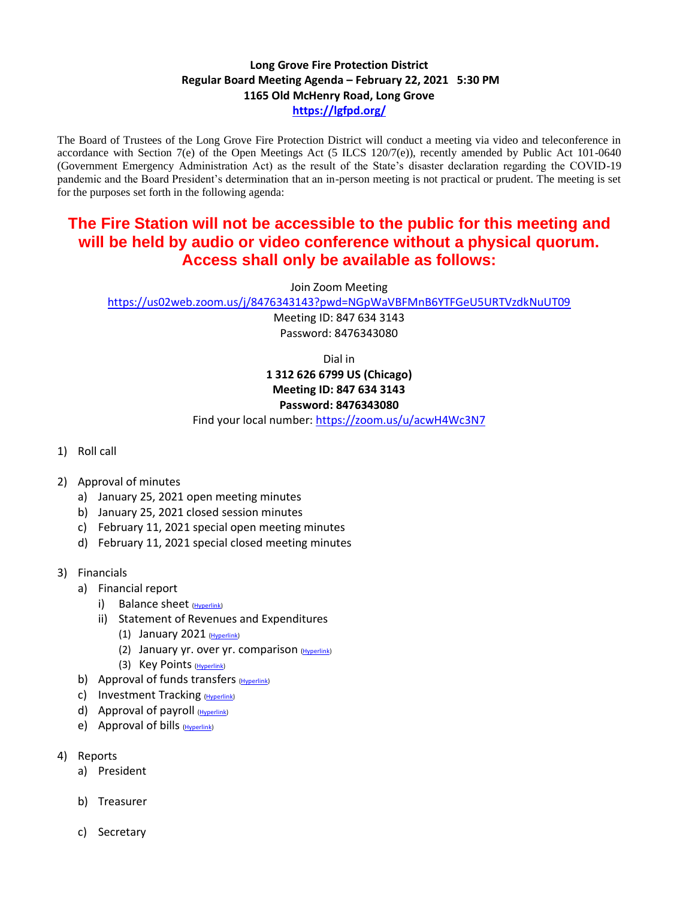## **Long Grove Fire Protection District Regular Board Meeting Agenda – February 22, 2021 5:30 PM 1165 Old McHenry Road, Long Grove <https://lgfpd.org/>**

The Board of Trustees of the Long Grove Fire Protection District will conduct a meeting via video and teleconference in accordance with Section 7(e) of the Open Meetings Act  $(5$  ILCS 120/7(e)), recently amended by Public Act 101-0640 (Government Emergency Administration Act) as the result of the State's disaster declaration regarding the COVID-19 pandemic and the Board President's determination that an in-person meeting is not practical or prudent. The meeting is set for the purposes set forth in the following agenda:

## **The Fire Station will not be accessible to the public for this meeting and will be held by audio or video conference without a physical quorum. Access shall only be available as follows:**

Join Zoom Meeting

<https://us02web.zoom.us/j/8476343143?pwd=NGpWaVBFMnB6YTFGeU5URTVzdkNuUT09>

Meeting ID: 847 634 3143 Password: 8476343080

Dial in

## **1 312 626 6799 US (Chicago) Meeting ID: 847 634 3143 Password: 8476343080**

Find your local number:<https://zoom.us/u/acwH4Wc3N7>

- 1) Roll call
- 2) Approval of minutes
	- a) January 25, 2021 open meeting minutes
	- b) January 25, 2021 closed session minutes
	- c) February 11, 2021 special open meeting minutes
	- d) February 11, 2021 special closed meeting minutes
- 3) Financials
	- a) Financial report
		- i) Balance sheet [\(Hyperlink\)](https://itgophers.sharepoint.com/:b:/s/SharedDocs/EVxX79pvN7dPm9HZJHFfeK4BNckisl91QUBNCeBKRSddlQ?e=nylciR)
		- ii) Statement of Revenues and Expenditures
			- (1) January 2021 [\(Hyperlink\)](https://itgophers.sharepoint.com/:b:/s/SharedDocs/EbfuTDg3rQBLguJ7RU5chn0BHxfZLGRsggk1E38OQ5IcSA?e=vqwSR7)
			- (2) January yr. over yr. comparison [\(Hyperlink\)](https://itgophers-my.sharepoint.com/:b:/g/personal/msmall_lgfpd_org/EYt_l4PbHHtMopv8bpfkSAUBxu6GbnY047ijPLTHqvHUGw?e=Qn4zle)
			- (3) Key Points [\(Hyperlink\)](https://itgophers.sharepoint.com/:b:/s/SharedDocs/EflOfUKnN0xBqgyup4IWgbsBlLkvm3nwNEEQEozheX3n9A?e=pufezJ)
	- b) Approval of funds transfers [\(Hyperlink\)](https://itgophers.sharepoint.com/:b:/s/SharedDocs/EWZclke--oVHh48SATJFsLMBWS-1DNWQ1efTxIV7_hHvZA?e=f280n2)
	- c) Investment Tracking [\(Hyperlink\)](https://itgophers-my.sharepoint.com/:b:/g/personal/msmall_lgfpd_org/EcIDdslMWO9NtDJX-mBSKW8BpaYNNghJ0fwZOIMcpQ24nA?e=VP4Kqj)
	- d) Approval of payroll [\(Hyperlink\)](https://itgophers.sharepoint.com/:f:/s/SharedDocs/EhlSyTzoxqRKjp4zC8Nxv1ABUAvpe_5kGpubPvN994m7TQ?e=eFtFEe)
	- e) Approval of bills [\(Hyperlink\)](https://itgophers-my.sharepoint.com/:b:/g/personal/msmall_lgfpd_org/EViI58GFzY5OjeySUUvSJA8BI-Ssl0HGHjEPcCzRvEUP5w?e=uAbhzs)
- 4) Reports
	- a) President
	- b) Treasurer
	- c) Secretary